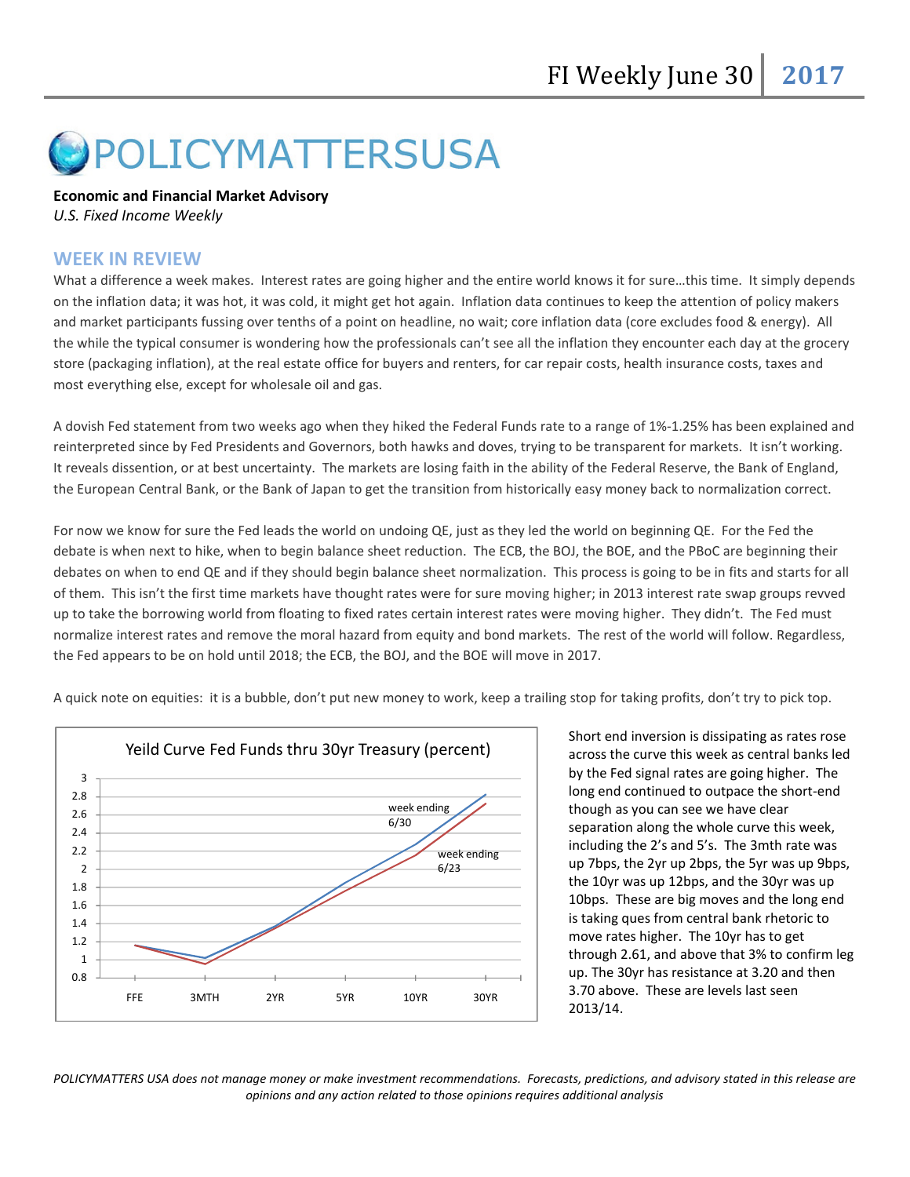# POLICYMATTERSUSA

## Economic and Financial Market Advisory

U.S. Fixed Income Weekly

## WEEK IN REVIEW

What a difference a week makes. Interest rates are going higher and the entire world knows it for sure...this time. It simply depends on the inflation data; it was hot, it was cold, it might get hot again. Inflation data continues to keep the attention of policy makers and market participants fussing over tenths of a point on headline, no wait; core inflation data (core excludes food & energy). All the while the typical consumer is wondering how the professionals can't see all the inflation they encounter each day at the grocery store (packaging inflation), at the real estate office for buyers and renters, for car repair costs, health insurance costs, taxes and most everything else, except for wholesale oil and gas.

A dovish Fed statement from two weeks ago when they hiked the Federal Funds rate to a range of 1%-1.25% has been explained and reinterpreted since by Fed Presidents and Governors, both hawks and doves, trying to be transparent for markets. It isn't working. It reveals dissention, or at best uncertainty. The markets are losing faith in the ability of the Federal Reserve, the Bank of England, the European Central Bank, or the Bank of Japan to get the transition from historically easy money back to normalization correct.

For now we know for sure the Fed leads the world on undoing QE, just as they led the world on beginning QE. For the Fed the debate is when next to hike, when to begin balance sheet reduction. The ECB, the BOJ, the BOE, and the PBoC are beginning their debates on when to end QE and if they should begin balance sheet normalization. This process is going to be in fits and starts for all of them. This isn't the first time markets have thought rates were for sure moving higher; in 2013 interest rate swap groups revved up to take the borrowing world from floating to fixed rates certain interest rates were moving higher. They didn't. The Fed must normalize interest rates and remove the moral hazard from equity and bond markets. The rest of the world will follow. Regardless, the Fed appears to be on hold until 2018; the ECB, the BOJ, and the BOE will move in 2017.



A quick note on equities: it is a bubble, don't put new money to work, keep a trailing stop for taking profits, don't try to pick top.

Short end inversion is dissipating as rates rose across the curve this week as central banks led by the Fed signal rates are going higher. The long end continued to outpace the short-end though as you can see we have clear separation along the whole curve this week, including the 2's and 5's. The 3mth rate was up 7bps, the 2yr up 2bps, the 5yr was up 9bps, the 10yr was up 12bps, and the 30yr was up 10bps. These are big moves and the long end is taking ques from central bank rhetoric to move rates higher. The 10yr has to get through 2.61, and above that 3% to confirm leg up. The 30yr has resistance at 3.20 and then 3.70 above. These are levels last seen 2013/14.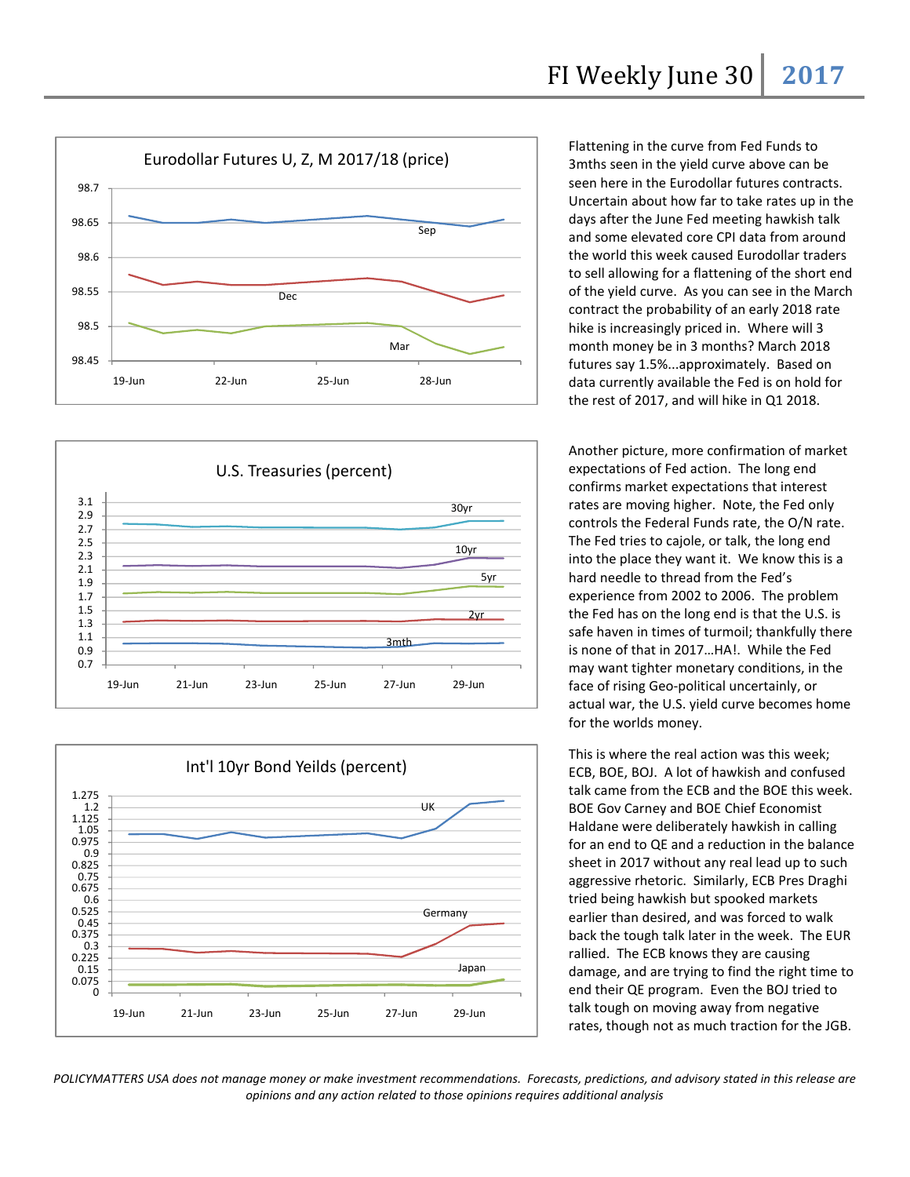





Flattening in the curve from Fed Funds to 3mths seen in the yield curve above can be seen here in the Eurodollar futures contracts. Uncertain about how far to take rates up in the days after the June Fed meeting hawkish talk and some elevated core CPI data from around the world this week caused Eurodollar traders to sell allowing for a flattening of the short end of the yield curve. As you can see in the March contract the probability of an early 2018 rate hike is increasingly priced in. Where will 3 month money be in 3 months? March 2018 futures say 1.5%...approximately. Based on data currently available the Fed is on hold for the rest of 2017, and will hike in Q1 2018.

Another picture, more confirmation of market expectations of Fed action. The long end confirms market expectations that interest rates are moving higher. Note, the Fed only controls the Federal Funds rate, the O/N rate. The Fed tries to cajole, or talk, the long end into the place they want it. We know this is a hard needle to thread from the Fed's experience from 2002 to 2006. The problem the Fed has on the long end is that the U.S. is safe haven in times of turmoil; thankfully there is none of that in 2017…HA!. While the Fed may want tighter monetary conditions, in the face of rising Geo-political uncertainly, or actual war, the U.S. yield curve becomes home for the worlds money.

This is where the real action was this week; ECB, BOE, BOJ. A lot of hawkish and confused talk came from the ECB and the BOE this week. BOE Gov Carney and BOE Chief Economist Haldane were deliberately hawkish in calling for an end to QE and a reduction in the balance sheet in 2017 without any real lead up to such aggressive rhetoric. Similarly, ECB Pres Draghi tried being hawkish but spooked markets earlier than desired, and was forced to walk back the tough talk later in the week. The EUR rallied. The ECB knows they are causing damage, and are trying to find the right time to end their QE program. Even the BOJ tried to talk tough on moving away from negative rates, though not as much traction for the JGB.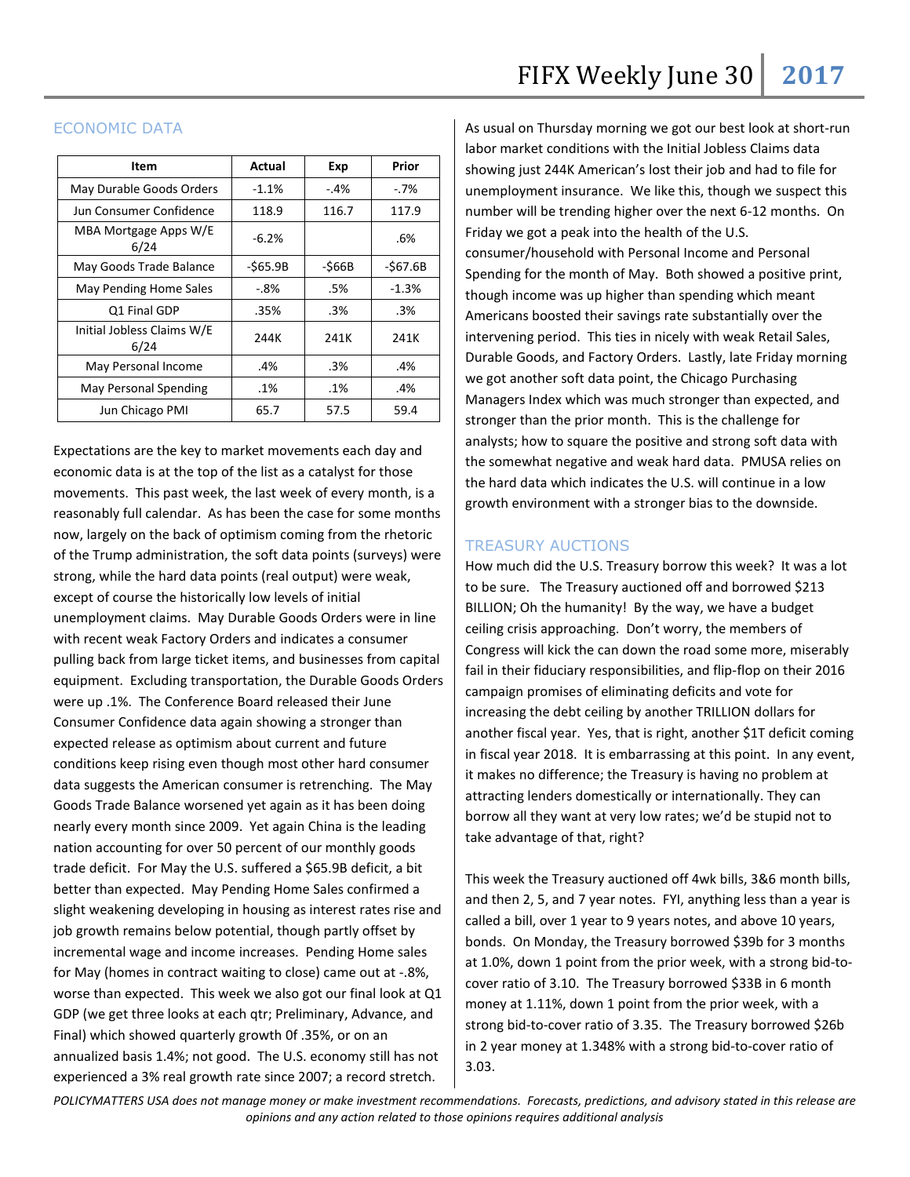### ECONOMIC DATA

| Item                               | Actual   | Exp       | Prior    |
|------------------------------------|----------|-----------|----------|
| May Durable Goods Orders           | $-1.1%$  | $-.4%$    | $-7%$    |
| Jun Consumer Confidence            | 118.9    | 116.7     | 117.9    |
| MBA Mortgage Apps W/E<br>6/24      | $-6.2%$  |           | .6%      |
| May Goods Trade Balance            | -\$65.9B | $-$ \$66B | -\$67.6B |
| May Pending Home Sales             | -.8%     | .5%       | $-1.3%$  |
| Q1 Final GDP                       | .35%     | .3%       | .3%      |
| Initial Jobless Claims W/E<br>6/24 | 244K     | 241K      | 241K     |
| May Personal Income                | .4%      | .3%       | .4%      |
| <b>May Personal Spending</b>       | .1%      | $.1\%$    | .4%      |
| Jun Chicago PMI                    | 65.7     | 57.5      | 59.4     |

Expectations are the key to market movements each day and economic data is at the top of the list as a catalyst for those movements. This past week, the last week of every month, is a reasonably full calendar. As has been the case for some months now, largely on the back of optimism coming from the rhetoric of the Trump administration, the soft data points (surveys) were strong, while the hard data points (real output) were weak, except of course the historically low levels of initial unemployment claims. May Durable Goods Orders were in line with recent weak Factory Orders and indicates a consumer pulling back from large ticket items, and businesses from capital equipment. Excluding transportation, the Durable Goods Orders were up .1%. The Conference Board released their June Consumer Confidence data again showing a stronger than expected release as optimism about current and future conditions keep rising even though most other hard consumer data suggests the American consumer is retrenching. The May Goods Trade Balance worsened yet again as it has been doing nearly every month since 2009. Yet again China is the leading nation accounting for over 50 percent of our monthly goods trade deficit. For May the U.S. suffered a \$65.9B deficit, a bit better than expected. May Pending Home Sales confirmed a slight weakening developing in housing as interest rates rise and job growth remains below potential, though partly offset by incremental wage and income increases. Pending Home sales for May (homes in contract waiting to close) came out at -.8%, worse than expected. This week we also got our final look at Q1 GDP (we get three looks at each qtr; Preliminary, Advance, and Final) which showed quarterly growth 0f .35%, or on an annualized basis 1.4%; not good. The U.S. economy still has not experienced a 3% real growth rate since 2007; a record stretch.

As usual on Thursday morning we got our best look at short-run labor market conditions with the Initial Jobless Claims data showing just 244K American's lost their job and had to file for unemployment insurance. We like this, though we suspect this number will be trending higher over the next 6-12 months. On Friday we got a peak into the health of the U.S. consumer/household with Personal Income and Personal Spending for the month of May. Both showed a positive print, though income was up higher than spending which meant Americans boosted their savings rate substantially over the intervening period. This ties in nicely with weak Retail Sales, Durable Goods, and Factory Orders. Lastly, late Friday morning we got another soft data point, the Chicago Purchasing Managers Index which was much stronger than expected, and stronger than the prior month. This is the challenge for analysts; how to square the positive and strong soft data with the somewhat negative and weak hard data. PMUSA relies on the hard data which indicates the U.S. will continue in a low growth environment with a stronger bias to the downside.

#### TREASURY AUCTIONS

How much did the U.S. Treasury borrow this week? It was a lot to be sure. The Treasury auctioned off and borrowed \$213 BILLION; Oh the humanity! By the way, we have a budget ceiling crisis approaching. Don't worry, the members of Congress will kick the can down the road some more, miserably fail in their fiduciary responsibilities, and flip-flop on their 2016 campaign promises of eliminating deficits and vote for increasing the debt ceiling by another TRILLION dollars for another fiscal year. Yes, that is right, another \$1T deficit coming in fiscal year 2018. It is embarrassing at this point. In any event, it makes no difference; the Treasury is having no problem at attracting lenders domestically or internationally. They can borrow all they want at very low rates; we'd be stupid not to take advantage of that, right?

This week the Treasury auctioned off 4wk bills, 3&6 month bills, and then 2, 5, and 7 year notes. FYI, anything less than a year is called a bill, over 1 year to 9 years notes, and above 10 years, bonds. On Monday, the Treasury borrowed \$39b for 3 months at 1.0%, down 1 point from the prior week, with a strong bid-tocover ratio of 3.10. The Treasury borrowed \$33B in 6 month money at 1.11%, down 1 point from the prior week, with a strong bid-to-cover ratio of 3.35. The Treasury borrowed \$26b in 2 year money at 1.348% with a strong bid-to-cover ratio of 3.03.